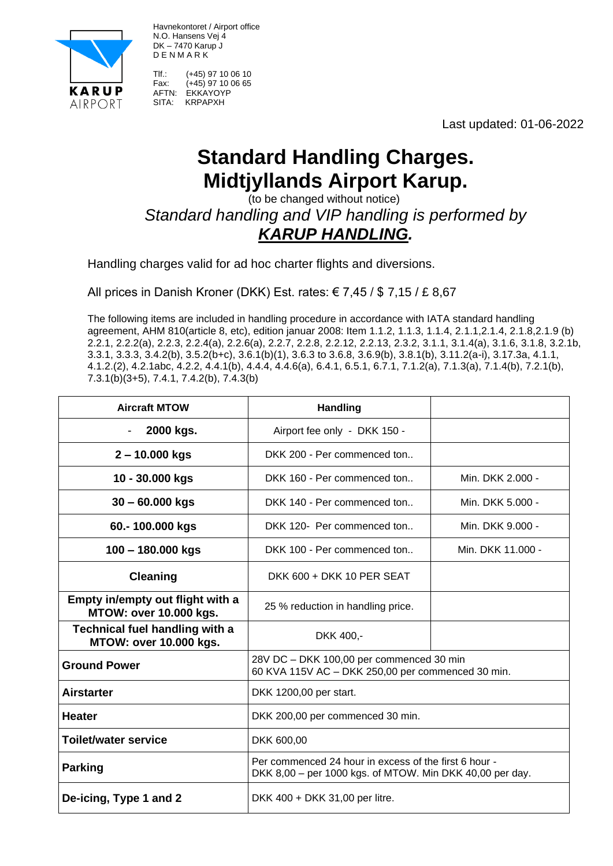

Havnekontoret / Airport office N.O. Hansens Vej 4 DK – 7470 Karup J D E N M A R K

Tlf.: (+45) 97 10 06 10 Fax:  $(+45)$  97 10 06 65 AFTN: EKKAYOYP SITA: KRPAPXH

Last updated: 01-06-2022

## **Standard Handling Charges. Midtjyllands Airport Karup.**

 (to be changed without notice) *Standard handling and VIP handling is performed by KARUP HANDLING.*

Handling charges valid for ad hoc charter flights and diversions.

All prices in Danish Kroner (DKK) Est. rates:  $\epsilon$  7,45 / \$ 7,15 / £ 8,67

The following items are included in handling procedure in accordance with IATA standard handling agreement, AHM 810(article 8, etc), edition januar 2008: Item 1.1.2, 1.1.3, 1.1.4, 2.1.1,2.1.4, 2.1.8,2.1.9 (b) 2.2.1, 2.2.2(a), 2.2.3, 2.2.4(a), 2.2.6(a), 2.2.7, 2.2.8, 2.2.12, 2.2.13, 2.3.2, 3.1.1, 3.1.4(a), 3.1.6, 3.1.8, 3.2.1b, 3.3.1, 3.3.3, 3.4.2(b), 3.5.2(b+c), 3.6.1(b)(1), 3.6.3 to 3.6.8, 3.6.9(b), 3.8.1(b), 3.11.2(a-i), 3.17.3a, 4.1.1, 4.1.2.(2), 4.2.1abc, 4.2.2, 4.4.1(b), 4.4.4, 4.4.6(a), 6.4.1, 6.5.1, 6.7.1, 7.1.2(a), 7.1.3(a), 7.1.4(b), 7.2.1(b), 7.3.1(b)(3+5), 7.4.1, 7.4.2(b), 7.4.3(b)

| <b>Aircraft MTOW</b>                                              | <b>Handling</b>                                                                                                   |                   |
|-------------------------------------------------------------------|-------------------------------------------------------------------------------------------------------------------|-------------------|
| 2000 kgs.<br>$\overline{\phantom{a}}$                             | Airport fee only - DKK 150 -                                                                                      |                   |
| $2 - 10.000$ kgs                                                  | DKK 200 - Per commenced ton                                                                                       |                   |
| 10 - 30.000 kgs                                                   | DKK 160 - Per commenced ton                                                                                       | Min. DKK 2.000 -  |
| $30 - 60.000$ kgs                                                 | DKK 140 - Per commenced ton                                                                                       | Min. DKK 5.000 -  |
| 60.-100.000 kgs                                                   | DKK 120- Per commenced ton                                                                                        | Min. DKK 9.000 -  |
| $100 - 180.000$ kgs                                               | DKK 100 - Per commenced ton                                                                                       | Min. DKK 11.000 - |
| <b>Cleaning</b>                                                   | DKK 600 + DKK 10 PER SEAT                                                                                         |                   |
| Empty in/empty out flight with a<br><b>MTOW: over 10.000 kgs.</b> | 25 % reduction in handling price.                                                                                 |                   |
| <b>Technical fuel handling with a</b><br>MTOW: over 10.000 kgs.   | DKK 400,-                                                                                                         |                   |
| <b>Ground Power</b>                                               | 28V DC - DKK 100,00 per commenced 30 min<br>60 KVA 115V AC - DKK 250,00 per commenced 30 min.                     |                   |
| <b>Airstarter</b>                                                 | DKK 1200,00 per start.                                                                                            |                   |
| <b>Heater</b>                                                     | DKK 200,00 per commenced 30 min.                                                                                  |                   |
| <b>Toilet/water service</b>                                       | DKK 600,00                                                                                                        |                   |
| <b>Parking</b>                                                    | Per commenced 24 hour in excess of the first 6 hour -<br>DKK 8,00 – per 1000 kgs. of MTOW. Min DKK 40,00 per day. |                   |
| De-icing, Type 1 and 2                                            | DKK 400 + DKK 31,00 per litre.                                                                                    |                   |